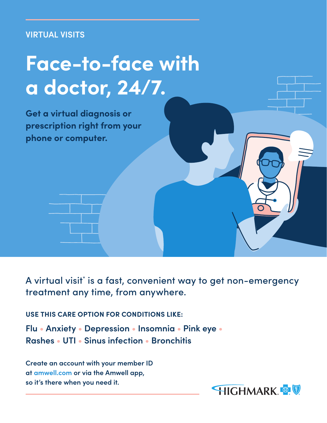## **VIRTUAL VISITS**

## **Face-to-face with a doctor, 24/7.**

**Get a virtual diagnosis or prescription right from your phone or computer.**

A virtual visit\* is a fast, convenient way to get non-emergency treatment any time, from anywhere.

**USE THIS CARE OPTION FOR CONDITIONS LIKE:**

**Flu • Anxiety • Depression • Insomnia • Pink eye • Rashes • UTI • Sinus infection • Bronchitis** 

**Create an account with your member ID at amwell.com or via the Amwell app, so it's there when you need it.**